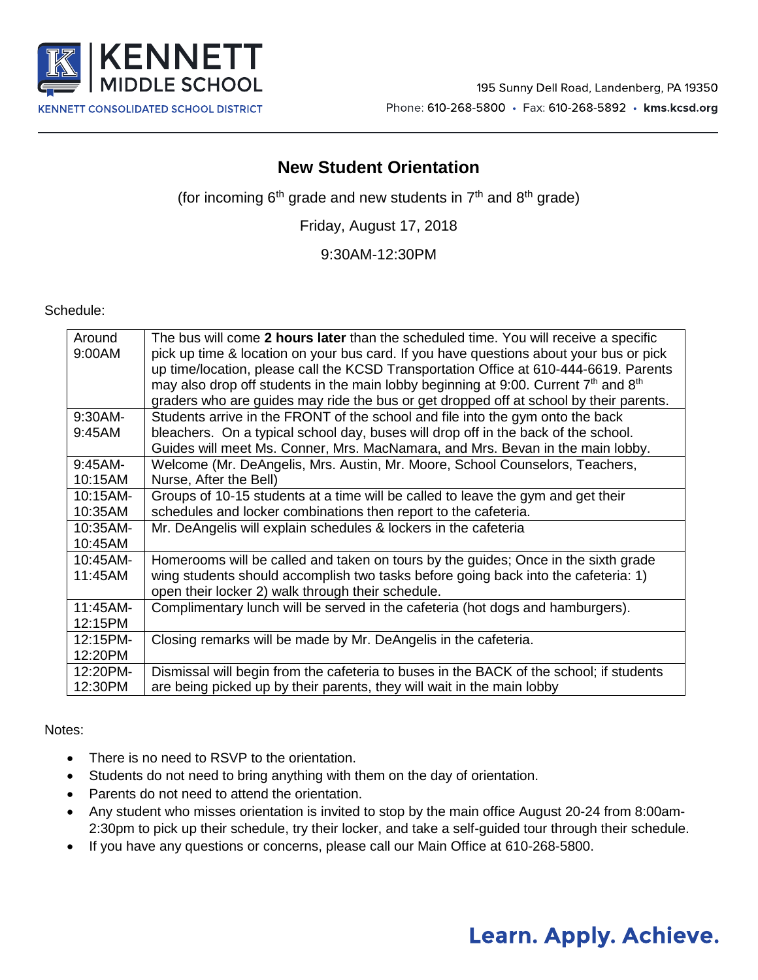

### **New Student Orientation**

(for incoming  $6<sup>th</sup>$  grade and new students in  $7<sup>th</sup>$  and  $8<sup>th</sup>$  grade)

Friday, August 17, 2018

9:30AM-12:30PM

Schedule:

| Around    | The bus will come 2 hours later than the scheduled time. You will receive a specific    |
|-----------|-----------------------------------------------------------------------------------------|
|           |                                                                                         |
| 9:00AM    | pick up time & location on your bus card. If you have questions about your bus or pick  |
|           | up time/location, please call the KCSD Transportation Office at 610-444-6619. Parents   |
|           | may also drop off students in the main lobby beginning at 9:00. Current $7th$ and $8th$ |
|           | graders who are guides may ride the bus or get dropped off at school by their parents.  |
| 9:30AM-   | Students arrive in the FRONT of the school and file into the gym onto the back          |
| 9:45AM    | bleachers. On a typical school day, buses will drop off in the back of the school.      |
|           | Guides will meet Ms. Conner, Mrs. MacNamara, and Mrs. Bevan in the main lobby.          |
| $9:45AM-$ | Welcome (Mr. DeAngelis, Mrs. Austin, Mr. Moore, School Counselors, Teachers,            |
| 10:15AM   | Nurse, After the Bell)                                                                  |
| 10:15AM-  | Groups of 10-15 students at a time will be called to leave the gym and get their        |
| 10:35AM   | schedules and locker combinations then report to the cafeteria.                         |
| 10:35AM-  | Mr. DeAngelis will explain schedules & lockers in the cafeteria                         |
| 10:45AM   |                                                                                         |
| 10:45AM-  | Homerooms will be called and taken on tours by the guides; Once in the sixth grade      |
| 11:45AM   | wing students should accomplish two tasks before going back into the cafeteria: 1)      |
|           | open their locker 2) walk through their schedule.                                       |
| 11:45AM-  | Complimentary lunch will be served in the cafeteria (hot dogs and hamburgers).          |
| 12:15PM   |                                                                                         |
| 12:15PM-  | Closing remarks will be made by Mr. DeAngelis in the cafeteria.                         |
| 12:20PM   |                                                                                         |
| 12:20PM-  | Dismissal will begin from the cafeteria to buses in the BACK of the school; if students |
| 12:30PM   | are being picked up by their parents, they will wait in the main lobby                  |

#### Notes:

- There is no need to RSVP to the orientation.
- Students do not need to bring anything with them on the day of orientation.
- Parents do not need to attend the orientation.
- Any student who misses orientation is invited to stop by the main office August 20-24 from 8:00am-2:30pm to pick up their schedule, try their locker, and take a self-guided tour through their schedule.
- If you have any questions or concerns, please call our Main Office at 610-268-5800.

# Learn. Apply. Achieve.